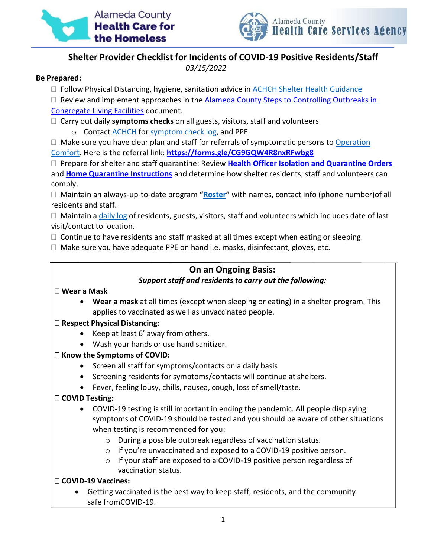



# **Shelter Provider Checklist for Incidents of COVID-19 Positive Residents/Staff**

*03/15/2022*

#### **Be Prepared:**

- $\Box$  Follow Physical Distancing, hygiene, sanitation advice in ACHCH Shelter Health [Guidance](https://www.achch.org/shelter-health-guidance.html)
- $\Box$  Review and implement approaches in the [Alameda County Steps to Controlling Outbreaks in](https://covid-19.acgov.org/covid19-assets/docs/healthcare-guidance/outbreak-control-recommendations-unlicensed-congregate-residential-2021.12.07.pdf) [Congregate Living Facilities](https://covid-19.acgov.org/covid19-assets/docs/healthcare-guidance/outbreak-control-recommendations-unlicensed-congregate-residential-2021.12.07.pdf) document.
- Carry out daily **symptoms checks** on all guests, visitors, staff and volunteers
	- o Contact [ACHCH](mailto:kari.jenningsparriot@acgov.org) for symptom check log, and PPE
- $\Box$  Make sure you have clear plan and staff for referrals of symptomatic persons t[o Operation](https://www.achch.org/isolation-housing.html) [Comfort.](https://www.achch.org/isolation-housing.html) Here is the referral link: **<https://forms.gle/CG9GQW4R8nxRFwbg8>**

 Prepare for shelter and staff quarantine: Review **Health Officer Isolation and [Quarantine Orders](https://covid-19.acgov.org/covid19-assets/docs/isolation-quarantine/20-06l-hoo-blanket-quarantine-eng-2021.11.09.pdf)** and **[Home](https://covid-19.acgov.org/isolation-quarantine#1595784429592-title3) [Quarantine Instructions](https://covid-19.acgov.org/isolation-quarantine#1595784429592-title3)** and determine how shelter residents, staff and volunteers can comply.

 Maintain an always-up-to-date program **"Roster"** with names, contact info (phone number)of all residents and staff.

 $\Box$  Maintain a daily log of residents, guests, visitors, staff and volunteers which includes date of last visit/contact to location.

 $\Box$  Continue to have residents and staff masked at all times except when eating or sleeping.

 $\Box$  Make sure you have adequate PPE on hand i.e. masks, disinfectant, gloves, etc.

# **On an Ongoing Basis:** *Support staff and residents to carry out the following:*

## **Wear a Mask**

• **Wear a mask** at all times (except when sleeping or eating) in a shelter program. This applies to vaccinated as well as unvaccinated people.

## **Respect Physical Distancing:**

- Keep at least 6' away from others.
- Wash your hands or use hand sanitizer.

## **Know the Symptoms of COVID:**

- Screen all staff for symptoms/contacts on a daily basis
- Screening residents for symptoms/contacts will continue at shelters.
- Fever, feeling lousy, chills, nausea, cough, loss of smell/taste.

## **COVID Testing:**

- COVID-19 testing is still important in ending the pandemic. All people displaying symptoms of COVID-19 should be tested and you should be aware of other situations when testing is recommended for you:
	- o During a possible outbreak regardless of vaccination status.
	- o If you're unvaccinated and exposed to a COVID-19 positive person.
	- o If your staff are exposed to a COVID-19 positive person regardless of vaccination status.

## **COVID-19 Vaccines:**

• Getting vaccinated is the best way to keep staff, residents, and the community safe fromCOVID-19.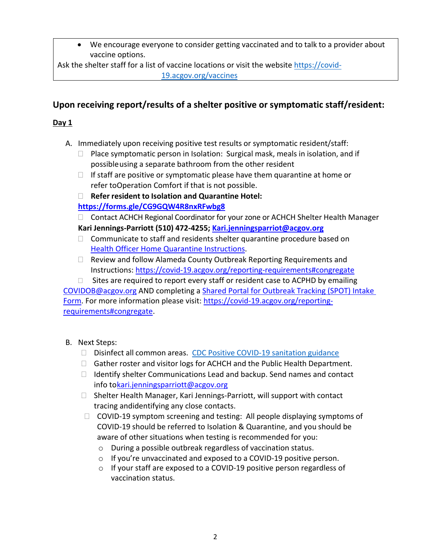• We encourage everyone to consider getting vaccinated and to talk to a provider about vaccine options.

Ask the shelter staff for a list of vaccine locations or visit the website [https://covid-](https://covid-19.acgov.org/vaccines)[19.acgov.org/vaccines](https://covid-19.acgov.org/vaccines)

# **Upon receiving report/results of a shelter positive or symptomatic staff/resident:**

# **Day 1**

- A. Immediately upon receiving positive test results or symptomatic resident/staff:
	- $\Box$  Place symptomatic person in Isolation: Surgical mask, meals in isolation, and if possible using a separate bathroom from the other resident
	- $\Box$  If staff are positive or symptomatic please have them quarantine at home or refer toOperation Comfort if that is not possible.
	- **Refer resident to Isolation and Quarantine Hotel:**
	- **<https://forms.gle/CG9GQW4R8nxRFwbg8>**
	- □ Contact ACHCH Regional Coordinator for your zone or ACHCH Shelter Health Manager **Kari Jennings-Parriott (510) 472-4255; [Kari.jenningsparriot@acgov.org](mailto:Kari.jenningsparriot@acgov.org)**
	- $\Box$  Communicate to staff and residents shelter quarantine procedure based on Health [Officer Home](https://covid-19.acgov.org/isolation-quarantine#1595784429592-title3) Quarantine Instructions.
	- $\Box$  Review and follow Alameda County Outbreak Reporting Requirements and Instructions:<https://covid-19.acgov.org/reporting-requirements#congregate>
- $\Box$  Sites are required to report every staff or resident case to ACPHD by emailing [COVIDOB@acgov.org](mailto:COVIDOB@acgov.org) AND completing a [Shared Portal for Outbreak Tracking \(SPOT\) Intake](https://cdph.force.com/SPOT/s/IntakeForm?language=en_US)

[Form.](https://cdph.force.com/SPOT/s/IntakeForm?language=en_US) For more information please visit: [https://covid-19.acgov.org/reporting](https://covid-19.acgov.org/reporting-requirements#congregate)[requirements#congregate.](https://covid-19.acgov.org/reporting-requirements#congregate)

- B. Next Steps:
	- □ Disinfect all common areas. CDC Positive COVID-19 [sanitation](https://www.cdc.gov/coronavirus/2019-ncov/community/disinfecting-building-facility.html?CDC_AA_refVal=https%3A%2F%2Fwww.cdc.gov%2Fcoronavirus%2F2019-ncov%2Fprepare%2Fdisinfecting-building-facility.html) guidance
	- $\Box$  Gather roster and visitor logs for ACHCH and the Public Health Department.
	- $\Box$  Identify shelter Communications Lead and backup. Send names and contact info t[o kari.jenningsparriott@acgov.org](mailto:kari.jenningsparriott@acgov.org)
	- $\Box$  Shelter Health Manager, Kari Jennings-Parriott, will support with contact tracing andidentifying any close contacts.
	- $\Box$  COVID-19 symptom screening and testing: All people displaying symptoms of COVID-19 should be referred to Isolation & Quarantine, and you should be aware of other situations when testing is recommended for you:
		- o During a possible outbreak regardless of vaccination status.
		- o If you're unvaccinated and exposed to a COVID-19 positive person.
		- o If your staff are exposed to a COVID-19 positive person regardless of vaccination status.